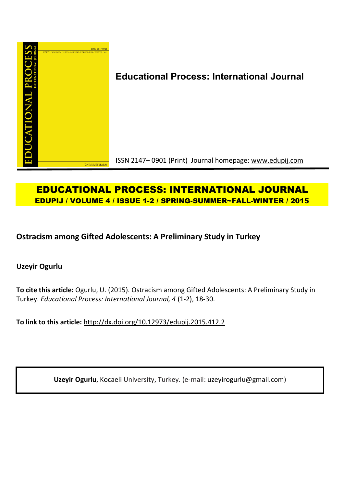

# **Educational Process: International Journal**

ISSN 2147– 0901 (Print) Journal homepage: www.edupij.com

# **EDUCATIONAL PROCESS: INTERNATIONAL JOURNAL EDUPIJ / VOLUME 4 / ISSUE 1-2 / SPRING-SUMMER~FALL-WINTER / 2015**

**Ostracism among Gifted Adolescents: A Preliminary Study in Turkey**

**Uzeyir Ogurlu**

**To cite this article:** Ogurlu, U. (2015). Ostracism among Gifted Adolescents: A Preliminary Study in Turkey. *Educational Process: International Journal, 4* (1-2), 18-30.

**To link to this article:** http://dx.doi.org/10.12973/edupij.2015.412.2

**Uzeyir Ogurlu**, Kocaeli University, Turkey. (e-mail: uzeyirogurlu@gmail.com)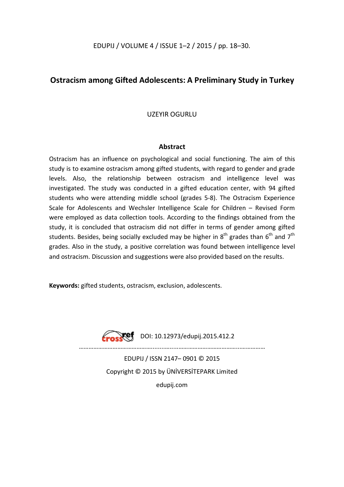EDUPIJ / VOLUME 4 / ISSUE 1–2 / 2015 / pp. 18–30.

## **Ostracism among Gifted Adolescents: A Preliminary Study in Turkey**

UZEYIR OGURLU

### **Abstract**

Ostracism has an influence on psychological and social functioning. The aim of this study is to examine ostracism among gifted students, with regard to gender and grade levels. Also, the relationship between ostracism and intelligence level was investigated. The study was conducted in a gifted education center, with 94 gifted students who were attending middle school (grades 5-8). The Ostracism Experience Scale for Adolescents and Wechsler Intelligence Scale for Children – Revised Form were employed as data collection tools. According to the findings obtained from the study, it is concluded that ostracism did not differ in terms of gender among gifted students. Besides, being socially excluded may be higher in  $8<sup>th</sup>$  grades than  $6<sup>th</sup>$  and  $7<sup>th</sup>$ grades. Also in the study, a positive correlation was found between intelligence level and ostracism. Discussion and suggestions were also provided based on the results.

**Keywords:** gifted students, ostracism, exclusion, adolescents.



 $\sqrt{P}$  DOI: 10.12973/edupij.2015.412.2

………………………………………........….....………………………………...……………

EDUPIJ / ISSN 2147– 0901 © 2015 Copyright © 2015 by ÜNİVERSİTEPARK Limited edupij.com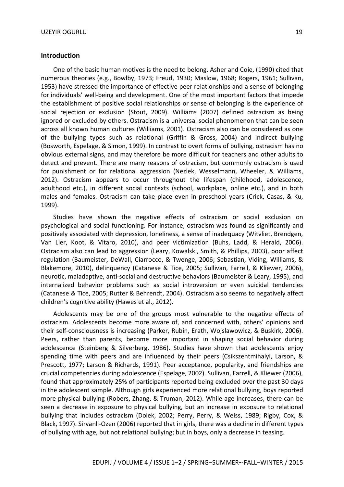#### **Introduction**

One of the basic human motives is the need to belong. Asher and Coie, (1990) cited that numerous theories (e.g., Bowlby, 1973; Freud, 1930; Maslow, 1968; Rogers, 1961; Sullivan, 1953) have stressed the importance of effective peer relationships and a sense of belonging for individuals' well-being and development. One of the most important factors that impede the establishment of positive social relationships or sense of belonging is the experience of social rejection or exclusion (Stout, 2009). Williams (2007) defined ostracism as being ignored or excluded by others. Ostracism is a universal social phenomenon that can be seen across all known human cultures (Williams, 2001). Ostracism also can be considered as one of the bullying types such as relational (Griffin & Gross, 2004) and indirect bullying (Bosworth, Espelage, & Simon, 1999). In contrast to overt forms of bullying, ostracism has no obvious external signs, and may therefore be more difficult for teachers and other adults to detect and prevent. There are many reasons of ostracism, but commonly ostracism is used for punishment or for relational aggression (Nezlek, Wesselmann, Wheeler, & Williams, 2012). Ostracism appears to occur throughout the lifespan (childhood, adolescence, adulthood etc.), in different social contexts (school, workplace, online etc.), and in both males and females. Ostracism can take place even in preschool years (Crick, Casas, & Ku, 1999).

Studies have shown the negative effects of ostracism or social exclusion on psychological and social functioning. For instance, ostracism was found as significantly and positively associated with depression, loneliness, a sense of inadequacy (Witvliet, Brendgen, Van Lier, Koot, & Vitaro, 2010), and peer victimization (Buhs, Ladd, & Herald, 2006). Ostracism also can lead to aggression (Leary, Kowalski, Smith, & Phillips, 2003), poor affect regulation (Baumeister, DeWall, Ciarrocco, & Twenge, 2006; Sebastian, Viding, Williams, & Blakemore, 2010), delinquency (Catanese & Tice, 2005; Sullivan, Farrell, & Kliewer, 2006), neurotic, maladaptive, anti-social and destructive behaviors (Baumeister & Leary, 1995), and internalized behavior problems such as social introversion or even suicidal tendencies (Catanese & Tice, 2005; Rutter & Behrendt, 2004). Ostracism also seems to negatively affect children's cognitive ability (Hawes et al., 2012).

Adolescents may be one of the groups most vulnerable to the negative effects of ostracism. Adolescents become more aware of, and concerned with, others' opinions and their self-consciousness is increasing (Parker, Rubin, Erath, Wojslawowicz, & Buskirk, 2006). Peers, rather than parents, become more important in shaping social behavior during adolescence (Steinberg & Silverberg, 1986). Studies have shown that adolescents enjoy spending time with peers and are influenced by their peers (Csikszentmihalyi, Larson, & Prescott, 1977; Larson & Richards, 1991). Peer acceptance, popularity, and friendships are crucial competencies during adolescence (Espelage, 2002). Sullivan, Farrell, & Kliewer (2006), found that approximately 25% of participants reported being excluded over the past 30 days in the adolescent sample. Although girls experienced more relational bullying, boys reported more physical bullying (Robers, Zhang, & Truman, 2012). While age increases, there can be seen a decrease in exposure to physical bullying, but an increase in exposure to relational bullying that includes ostracism (Dolek, 2002; Perry, Perry, & Weiss, 1989; Rigby, Cox, & Black, 1997). Sirvanli-Ozen (2006) reported that in girls, there was a decline in different types of bullying with age, but not relational bullying; but in boys, only a decrease in teasing.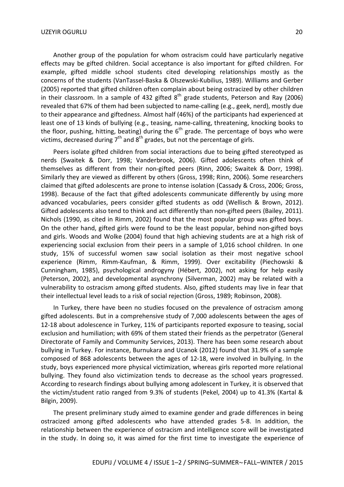Another group of the population for whom ostracism could have particularly negative effects may be gifted children. Social acceptance is also important for gifted children. For example, gifted middle school students cited developing relationships mostly as the concerns of the students (VanTassel-Baska & Olszewski-Kubilius, 1989). Williams and Gerber (2005) reported that gifted children often complain about being ostracized by other children in their classroom. In a sample of 432 gifted  $8^{th}$  grade students, Peterson and Ray (2006) revealed that 67% of them had been subjected to name-calling (e.g., geek, nerd), mostly due to their appearance and giftedness. Almost half (46%) of the participants had experienced at least one of 13 kinds of bullying (e.g., teasing, name-calling, threatening, knocking books to the floor, pushing, hitting, beating) during the  $6<sup>th</sup>$  grade. The percentage of boys who were victims, decreased during 7<sup>th</sup> and 8<sup>th</sup> grades, but not the percentage of girls.

Peers isolate gifted children from social interactions due to being gifted stereotyped as nerds (Swaitek & Dorr, 1998; Vanderbrook, 2006). Gifted adolescents often think of themselves as different from their non-gifted peers (Rinn, 2006; Swaitek & Dorr, 1998). Similarly they are viewed as different by others (Gross, 1998; Rinn, 2006). Some researchers claimed that gifted adolescents are prone to intense isolation (Cassady & Cross, 2006; Gross, 1998). Because of the fact that gifted adolescents communicate differently by using more advanced vocabularies, peers consider gifted students as odd (Wellisch & Brown, 2012). Gifted adolescents also tend to think and act differently than non-gifted peers (Bailey, 2011). Nichols (1990, as cited in Rimm, 2002) found that the most popular group was gifted boys. On the other hand, gifted girls were found to be the least popular, behind non-gifted boys and girls. Woods and Wolke (2004) found that high achieving students are at a high risk of experiencing social exclusion from their peers in a sample of 1,016 school children. In one study, 15% of successful women saw social isolation as their most negative school experience (Rimm, Rimm-Kaufman, & Rimm, 1999). Over excitability (Piechowski & Cunningham, 1985), psychological androgyny (Hébert, 2002), not asking for help easily (Peterson, 2002), and developmental asynchrony (Silverman, 2002) may be related with a vulnerability to ostracism among gifted students. Also, gifted students may live in fear that their intellectual level leads to a risk of social rejection (Gross, 1989; Robinson, 2008).

In Turkey, there have been no studies focused on the prevalence of ostracism among gifted adolescents. But in a comprehensive study of 7,000 adolescents between the ages of 12-18 about adolescence in Turkey, 11% of participants reported exposure to teasing, social exclusion and humiliation; with 69% of them stated their friends as the perpetrator (General Directorate of Family and Community Services, 2013). There has been some research about bullying in Turkey. For instance, Burnukara and Ucanok (2012) found that 31.9% of a sample composed of 868 adolescents between the ages of 12-18, were involved in bullying. In the study, boys experienced more physical victimization, whereas girls reported more relational bullying. They found also victimization tends to decrease as the school years progressed. According to research findings about bullying among adolescent in Turkey, it is observed that the victim/student ratio ranged from 9.3% of students (Pekel, 2004) up to 41.3% (Kartal & Bilgin, 2009).

The present preliminary study aimed to examine gender and grade differences in being ostracized among gifted adolescents who have attended grades 5-8. In addition, the relationship between the experience of ostracism and intelligence score will be investigated in the study. In doing so, it was aimed for the first time to investigate the experience of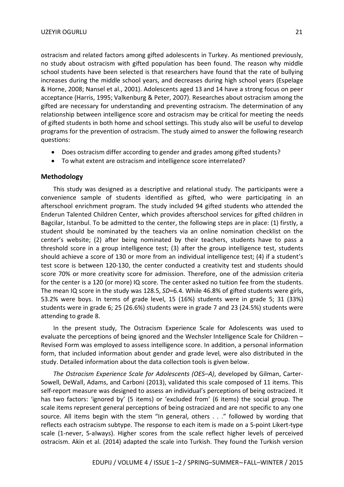ostracism and related factors among gifted adolescents in Turkey. As mentioned previously, no study about ostracism with gifted population has been found. The reason why middle school students have been selected is that researchers have found that the rate of bullying increases during the middle school years, and decreases during high school years (Espelage & Horne, 2008; Nansel et al., 2001). Adolescents aged 13 and 14 have a strong focus on peer acceptance (Harris, 1995; Valkenburg & Peter, 2007). Researches about ostracism among the gifted are necessary for understanding and preventing ostracism. The determination of any relationship between intelligence score and ostracism may be critical for meeting the needs of gifted students in both home and school settings. This study also will be useful to develop programs for the prevention of ostracism. The study aimed to answer the following research questions:

- Does ostracism differ according to gender and grades among gifted students?
- To what extent are ostracism and intelligence score interrelated?

#### **Methodology**

This study was designed as a descriptive and relational study. The participants were a convenience sample of students identified as gifted, who were participating in an afterschool enrichment program. The study included 94 gifted students who attended the Enderun Talented Children Center, which provides afterschool services for gifted children in Bagcilar, Istanbul. To be admitted to the center, the following steps are in place: (1) firstly, a student should be nominated by the teachers via an online nomination checklist on the center's website; (2) after being nominated by their teachers, students have to pass a threshold score in a group intelligence test; (3) after the group intelligence test, students should achieve a score of 130 or more from an individual intelligence test; (4) if a student's test score is between 120-130, the center conducted a creativity test and students should score 70% or more creativity score for admission. Therefore, one of the admission criteria for the center is a 120 (or more) IQ score. The center asked no tuition fee from the students. The mean IQ score in the study was 128.5, *SD*=6.4. While 46.8% of gifted students were girls, 53.2% were boys. In terms of grade level, 15 (16%) students were in grade 5; 31 (33%) students were in grade 6; 25 (26.6%) students were in grade 7 and 23 (24.5%) students were attending to grade 8.

In the present study, The Ostracism Experience Scale for Adolescents was used to evaluate the perceptions of being ignored and the Wechsler Intelligence Scale for Children – Revised Form was employed to assess intelligence score. In addition, a personal information form, that included information about gender and grade level, were also distributed in the study. Detailed information about the data collection tools is given below.

*The Ostracism Experience Scale for Adolescents (OES–A)*, developed by Gilman, Carter-Sowell, DeWall, Adams, and Carboni (2013), validated this scale composed of 11 items. This self-report measure was designed to assess an individual's perceptions of being ostracized. It has two factors: 'ignored by' (5 items) or 'excluded from' (6 items) the social group. The scale items represent general perceptions of being ostracized and are not specific to any one source. All items begin with the stem "In general, others . . ." followed by wording that reflects each ostracism subtype. The response to each item is made on a 5-point Likert-type scale (1-never, 5-always). Higher scores from the scale reflect higher levels of perceived ostracism. Akin et al. (2014) adapted the scale into Turkish. They found the Turkish version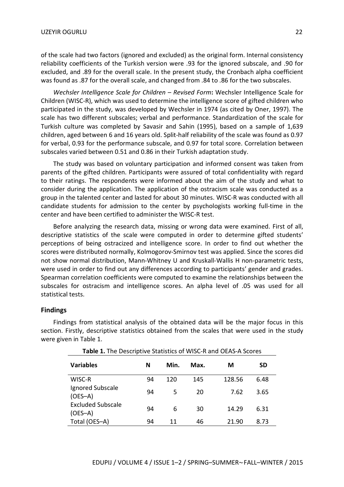of the scale had two factors (ignored and excluded) as the original form. Internal consistency reliability coefficients of the Turkish version were .93 for the ignored subscale, and .90 for excluded, and .89 for the overall scale. In the present study, the Cronbach alpha coefficient was found as .87 for the overall scale, and changed from .84 to .86 for the two subscales.

*Wechsler Intelligence Scale for Children – Revised Form***:** Wechsler Intelligence Scale for Children (WISC-R), which was used to determine the intelligence score of gifted children who participated in the study, was developed by Wechsler in 1974 (as cited by Oner, 1997). The scale has two different subscales; verbal and performance. Standardization of the scale for Turkish culture was completed by Savasir and Sahin (1995), based on a sample of 1,639 children, aged between 6 and 16 years old. Split-half reliability of the scale was found as 0.97 for verbal, 0.93 for the performance subscale, and 0.97 for total score. Correlation between subscales varied between 0.51 and 0.86 in their Turkish adaptation study.

The study was based on voluntary participation and informed consent was taken from parents of the gifted children. Participants were assured of total confidentiality with regard to their ratings. The respondents were informed about the aim of the study and what to consider during the application. The application of the ostracism scale was conducted as a group in the talented center and lasted for about 30 minutes. WISC-R was conducted with all candidate students for admission to the center by psychologists working full-time in the center and have been certified to administer the WISC-R test.

Before analyzing the research data, missing or wrong data were examined. First of all, descriptive statistics of the scale were computed in order to determine gifted students' perceptions of being ostracized and intelligence score. In order to find out whether the scores were distributed normally, Kolmogorov-Smirnov test was applied. Since the scores did not show normal distribution, Mann-Whitney U and Kruskall-Wallis H non-parametric tests, were used in order to find out any differences according to participants' gender and grades. Spearman correlation coefficients were computed to examine the relationships between the subscales for ostracism and intelligence scores. An alpha level of .05 was used for all statistical tests.

#### **Findings**

Findings from statistical analysis of the obtained data will be the major focus in this section. Firstly, descriptive statistics obtained from the scales that were used in the study were given in Table 1.

| <b>Variables</b>                      | N  | Min. | Max. | М      | SD   |
|---------------------------------------|----|------|------|--------|------|
| WISC-R                                | 94 | 120  | 145  | 128.56 | 6.48 |
| Ignored Subscale<br>$(OES-A)$         | 94 | 5    | 20   | 7.62   | 3.65 |
| <b>Excluded Subscale</b><br>$(OES-A)$ | 94 | 6    | 30   | 14.29  | 6.31 |
| Total (OES-A)                         | 94 | 11   | 46   | 21.90  | 8.73 |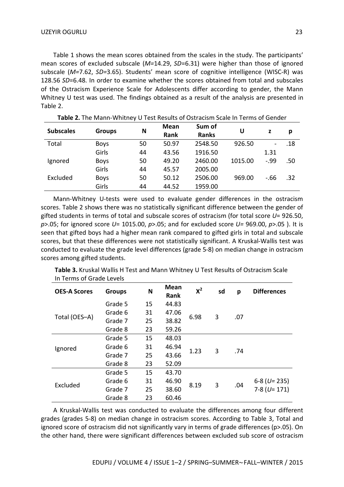Table 1 shows the mean scores obtained from the scales in the study. The participants' mean scores of excluded subscale (*M=*14.29, *SD*=6.31) were higher than those of ignored subscale (*M=*7.62, *SD=*3.65). Students' mean score of cognitive intelligence (WISC-R) was 128.56 *SD*=6.48. In order to examine whether the scores obtained from total and subscales of the Ostracism Experience Scale for Adolescents differ according to gender, the Mann Whitney U test was used. The findings obtained as a result of the analysis are presented in Table 2.

| <b>Subscales</b> | <b>Groups</b> | N  | Mean  | Sum of       | U       | z     | р   |
|------------------|---------------|----|-------|--------------|---------|-------|-----|
|                  |               |    | Rank  | <b>Ranks</b> |         |       |     |
| Total            | <b>Boys</b>   | 50 | 50.97 | 2548.50      | 926.50  |       | .18 |
|                  | Girls         | 44 | 43.56 | 1916.50      |         | 1.31  |     |
| Ignored          | <b>Boys</b>   | 50 | 49.20 | 2460.00      | 1015.00 | $-99$ | .50 |
|                  | Girls         | 44 | 45.57 | 2005.00      |         |       |     |
| Excluded         | <b>Boys</b>   | 50 | 50.12 | 2506.00      | 969.00  | $-66$ | .32 |
|                  | Girls         | 44 | 44.52 | 1959.00      |         |       |     |

**Table 2.** The Mann-Whitney U Test Results of Ostracism Scale In Terms of Gender

Mann-Whitney U-tests were used to evaluate gender differences in the ostracism scores. Table 2 shows there was no statistically significant difference between the gender of gifted students in terms of total and subscale scores of ostracism (for total score *U*= 926.50, *p*>.05; for ignored score *U*= 1015.00, *p*>.05; and for excluded score *U=* 969.00, *p*>.05 ). It is seen that gifted boys had a higher mean rank compared to gifted girls in total and subscale scores, but that these differences were not statistically significant. A Kruskal-Wallis test was conducted to evaluate the grade level differences (grade 5-8) on median change in ostracism scores among gifted students.

| <b>OES-A Scores</b> | <b>Groups</b> | N  | <b>Mean</b><br>Rank | $X^2$ | sd | p   | <b>Differences</b> |
|---------------------|---------------|----|---------------------|-------|----|-----|--------------------|
|                     | Grade 5       | 15 | 44.83               |       | 3  | .07 |                    |
| Total (OES-A)       | Grade 6       | 31 | 47.06               | 6.98  |    |     |                    |
|                     | Grade 7       | 25 | 38.82               |       |    |     |                    |
|                     | Grade 8       | 23 | 59.26               |       |    |     |                    |
| Ignored             | Grade 5       | 15 | 48.03               |       | 3  | .74 |                    |
|                     | Grade 6       | 31 | 46.94               | 1.23  |    |     |                    |
|                     | Grade 7       | 25 | 43.66               |       |    |     |                    |
|                     | Grade 8       | 23 | 52.09               |       |    |     |                    |
| Excluded            | Grade 5       | 15 | 43.70               | 8.19  | 3  | .04 |                    |
|                     | Grade 6       | 31 | 46.90               |       |    |     | $6-8$ (U= 235)     |
|                     | Grade 7       | 25 | 38.60               |       |    |     | $7-8$ (U= 171)     |
|                     | Grade 8       | 23 | 60.46               |       |    |     |                    |

**Table 3.** Kruskal Wallis H Test and Mann Whitney U Test Results of Ostracism Scale In Terms of Grade Levels

A Kruskal-Wallis test was conducted to evaluate the differences among four different grades (grades 5-8) on median change in ostracism scores. According to Table 3, Total and ignored score of ostracism did not significantly vary in terms of grade differences (p>.05). On the other hand, there were significant differences between excluded sub score of ostracism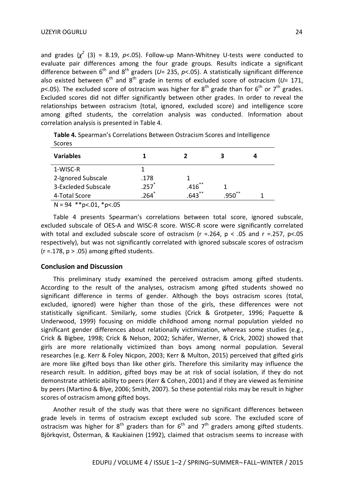and grades  $(\chi^2$  (3) = 8.19,  $p$ <.05). Follow-up Mann-Whitney U-tests were conducted to evaluate pair differences among the four grade groups. Results indicate a significant difference between 6<sup>th</sup> and 8<sup>th</sup> graders (U= 235, p<.05). A statistically significant difference also existed between  $6^{th}$  and  $8^{th}$  grade in terms of excluded score of ostracism ( $U$ = 171,  $p$ <.05). The excluded score of ostracism was higher for  $8^{\text{th}}$  grade than for  $6^{\text{th}}$  or  $7^{\text{th}}$  grades. Excluded scores did not differ significantly between other grades. In order to reveal the relationships between ostracism (total, ignored, excluded score) and intelligence score among gifted students, the correlation analysis was conducted. Information about correlation analysis is presented in Table 4.

| <b>Scores</b>                            |          |            |            |  |
|------------------------------------------|----------|------------|------------|--|
| <b>Variables</b>                         |          |            |            |  |
| 1-WISC-R                                 |          |            |            |  |
| 2-Ignored Subscale                       | .178     |            |            |  |
| 3-Excleded Subscale                      | $.257$ * | .416       |            |  |
| 4-Total Score                            | $.264*$  | $.643$ $*$ | **<br>.950 |  |
| $N = 0.4$ ** $\sim 0.1$ * $\sim \sim$ OF |          |            |            |  |

**Table 4.** Spearman's Correlations Between Ostracism Scores and Intelligence Scores

 $N = 94$  \*\*p<.01, \*p<.05

Table 4 presents Spearman's correlations between total score, ignored subscale, excluded subscale of OES-A and WISC-R score. WISC-R score were significantly correlated with total and excluded subscale score of ostracism ( $r = .264$ ,  $p < .05$  and  $r = .257$ ,  $p < .05$ respectively), but was not significantly correlated with ignored subscale scores of ostracism  $(r = .178, p > .05)$  among gifted students.

### **Conclusion and Discussion**

This preliminary study examined the perceived ostracism among gifted students. According to the result of the analyses, ostracism among gifted students showed no significant difference in terms of gender. Although the boys ostracism scores (total, excluded, ignored) were higher than those of the girls, these differences were not statistically significant. Similarly, some studies (Crick & Grotpeter, 1996; Paquette & Underwood, 1999) focusing on middle childhood among normal population yielded no significant gender differences about relationally victimization, whereas some studies (e.g., Crick & Bigbee, 1998; Crick & Nelson, 2002; Schäfer, Werner, & Crick, 2002) showed that girls are more relationally victimized than boys among normal population. Several researches (e.g. Kerr & Foley Nicpon, 2003; Kerr & Multon, 2015) perceived that gifted girls are more like gifted boys than like other girls. Therefore this similarity may influence the research result. In addition, gifted boys may be at risk of social isolation, if they do not demonstrate athletic ability to peers (Kerr & Cohen, 2001) and if they are viewed as feminine by peers (Martino & Blye, 2006; Smith, 2007). So these potential risks may be result in higher scores of ostracism among gifted boys.

Another result of the study was that there were no significant differences between grade levels in terms of ostracism except excluded sub score. The excluded score of ostracism was higher for  $8^{th}$  graders than for  $6^{th}$  and  $7^{th}$  graders among gifted students. Björkqvist, Österman, & Kaukiainen (1992), claimed that ostracism seems to increase with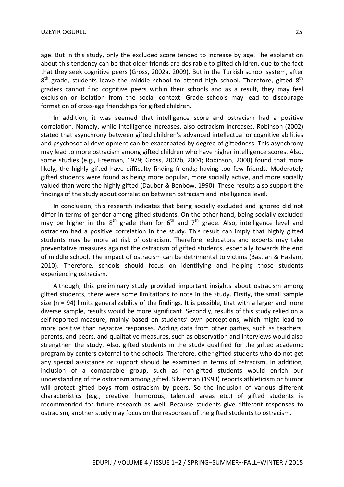age. But in this study, only the excluded score tended to increase by age. The explanation about this tendency can be that older friends are desirable to gifted children, due to the fact that they seek cognitive peers (Gross, 2002a, 2009). But in the Turkish school system, after  $8<sup>th</sup>$  grade, students leave the middle school to attend high school. Therefore, gifted  $8<sup>th</sup>$ graders cannot find cognitive peers within their schools and as a result, they may feel exclusion or isolation from the social context. Grade schools may lead to discourage formation of cross-age friendships for gifted children.

In addition, it was seemed that intelligence score and ostracism had a positive correlation. Namely, while intelligence increases, also ostracism increases. Robinson (2002) stated that asynchrony between gifted children's advanced intellectual or cognitive abilities and psychosocial development can be exacerbated by degree of giftedness. This asynchrony may lead to more ostracism among gifted children who have higher intelligence scores. Also, some studies (e.g., Freeman, 1979; Gross, 2002b, 2004; Robinson, 2008) found that more likely, the highly gifted have difficulty finding friends; having too few friends. Moderately gifted students were found as being more popular, more socially active, and more socially valued than were the highly gifted (Dauber & Benbow, 1990). These results also support the findings of the study about correlation between ostracism and intelligence level.

In conclusion, this research indicates that being socially excluded and ignored did not differ in terms of gender among gifted students. On the other hand, being socially excluded may be higher in the  $8^{th}$  grade than for  $6^{th}$  and  $7^{th}$  grade. Also, intelligence level and ostracism had a positive correlation in the study. This result can imply that highly gifted students may be more at risk of ostracism. Therefore, educators and experts may take preventative measures against the ostracism of gifted students, especially towards the end of middle school. The impact of ostracism can be detrimental to victims (Bastian & Haslam, 2010). Therefore, schools should focus on identifying and helping those students experiencing ostracism.

Although, this preliminary study provided important insights about ostracism among gifted students, there were some limitations to note in the study. Firstly, the small sample size (n = 94) limits generalizability of the findings. It is possible, that with a larger and more diverse sample, results would be more significant. Secondly, results of this study relied on a self-reported measure, mainly based on students' own perceptions, which might lead to more positive than negative responses. Adding data from other parties, such as teachers, parents, and peers, and qualitative measures, such as observation and interviews would also strengthen the study. Also, gifted students in the study qualified for the gifted academic program by centers external to the schools. Therefore, other gifted students who do not get any special assistance or support should be examined in terms of ostracism. In addition, inclusion of a comparable group, such as non-gifted students would enrich our understanding of the ostracism among gifted. Silverman (1993) reports athleticism or humor will protect gifted boys from ostracism by peers. So the inclusion of various different characteristics (e.g., creative, humorous, talented areas etc.) of gifted students is recommended for future research as well. Because students give different responses to ostracism, another study may focus on the responses of the gifted students to ostracism.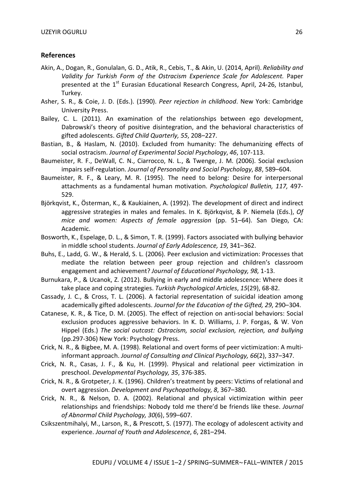#### **References**

- Akin, A., Dogan, R., Gonulalan, G. D., Atik, R., Cebis, T., & Akin, U. (2014, April). *Reliability and*  Validity for Turkish Form of the Ostracism Experience Scale for Adolescent. Paper presented at the  $1<sup>st</sup>$  Eurasian Educational Research Congress, April, 24-26, Istanbul, Turkey.
- Asher, S. R., & Coie, J. D. (Eds.). (1990). *Peer rejection in childhood*. New York: Cambridge University Press.
- Bailey, C. L. (2011). An examination of the relationships between ego development, Dabrowski's theory of positive disintegration, and the behavioral characteristics of gifted adolescents. *Gifted Child Quarterly, 55*, 208–227.
- Bastian, B., & Haslam, N. (2010). Excluded from humanity: The dehumanizing effects of social ostracism. *Journal of Experimental Social Psychology*, *46*, 107-113.
- Baumeister, R. F., DeWall, C. N., Ciarrocco, N. L., & Twenge, J. M. (2006). Social exclusion impairs self-regulation. *Journal of Personality and Social Psychology*, *88*, 589–604.
- Baumeister, R. F., & Leary, M. R. (1995). The need to belong: Desire for interpersonal attachments as a fundamental human motivation. *Psychological Bulletin, 117,* 497- 529.
- Björkqvist, K., Österman, K., & Kaukiainen, A. (1992). The development of direct and indirect aggressive strategies in males and females. In K. Björkqvist, & P. Niemela (Eds.), *Of mice and women: Aspects of female aggression* (pp. 51–64). San Diego, CA: Academic.
- Bosworth, K., Espelage, D. L., & Simon, T. R. (1999). Factors associated with bullying behavior in middle school students. *Journal of Early Adolescence, 19*, 341–362.
- Buhs, E., Ladd, G. W., & Herald, S. L. (2006). Peer exclusion and victimization: Processes that mediate the relation between peer group rejection and children's classroom engagement and achievement? *Journal of Educational Psychology, 98,* 1-13.
- Burnukara, P., & Ucanok, Z. (2012). Bullying in early and middle adolescence: Where does it take place and coping strategies. *Turkish Psychological Articles*, *15*(29), 68-82.
- Cassady, J. C., & Cross, T. L. (2006). A factorial representation of suicidal ideation among academically gifted adolescents. *Journal for the Education of the Gifted, 29*, 290–304.
- Catanese, K. R., & Tice, D. M. (2005). The effect of rejection on anti-social behaviors: Social exclusion produces aggressive behaviors. In K. D. Williams, J. P. Forgas, & W. Von Hippel (Eds.) *The social outcast: Ostracism, social exclusion, rejection, and bullying* (pp.297-306) New York: Psychology Press.
- Crick, N. R., & Bigbee, M. A. (1998). Relational and overt forms of peer victimization: A multiinformant approach. *Journal of Consulting and Clinical Psychology, 66*(2), 337–347.
- Crick, N. R., Casas, J. F., & Ku, H. (1999). Physical and relational peer victimization in preschool. *Developmental Psychology, 35*, 376-385.
- Crick, N. R., & Grotpeter, J. K. (1996). Children's treatment by peers: Victims of relational and overt aggression. *Development and Psychopathology, 8*, 367–380.
- Crick, N. R., & Nelson, D. A. (2002). Relational and physical victimization within peer relationships and friendships: Nobody told me there'd be friends like these. *Journal of Abnormal Child Psychology, 30*(6), 599–607.
- Csikszentmihalyi, M., Larson, R., & Prescott, S. (1977). The ecology of adolescent activity and experience. *Journal of Youth and Adolescence*, *6*, 281–294.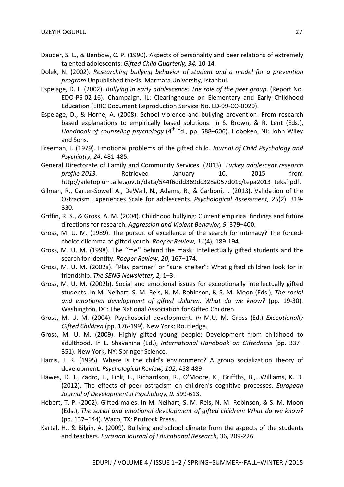- Dauber, S. L., & Benbow, C. P. (1990). Aspects of personality and peer relations of extremely talented adolescents. *Gifted Child Quarterly, 34,* 10-14.
- Dolek, N. (2002). *Researching bullying behavior of student and a model for a prevention program* Unpublished thesis. Marmara University, Istanbul.
- Espelage, D. L. (2002). *Bullying in early adolescence: The role of the peer group*. (Report No. EDO-PS-02-16). Champaign, IL: Clearinghouse on Elementary and Early Childhood Education (ERIC Document Reproduction Service No. ED-99-CO-0020).
- Espelage, D., & Horne, A. (2008). School violence and bullying prevention: From research based explanations to empirically based solutions. In S. Brown, & R. Lent (Eds.), *Handbook of counseling psychology* (4<sup>th</sup> Ed., pp. 588–606). Hoboken, NJ: John Wiley and Sons.
- Freeman, J. (1979). Emotional problems of the gifted child. *Journal of Child Psychology and Psychiatry, 24*, 481-485.
- General Directorate of Family and Community Services. (2013). *Turkey adolescent research profile-2013.* Retrieved January 10, 2015 from http://ailetoplum.aile.gov.tr/data/544f6ddd369dc328a057d01c/tepa2013\_teksf.pdf.
- Gilman, R., Carter-Sowell A., DeWall, N., Adams, R., & Carboni, I. (2013). Validation of the Ostracism Experiences Scale for adolescents. *Psychological Assessment, 25*(2), 319- 330.
- Griffin, R. S., & Gross, A. M. (2004). Childhood bullying: Current empirical findings and future directions for research. *Aggression and Violent Behavior, 9*, 379–400.
- Gross, M. U. M. (1989). The pursuit of excellence of the search for intimacy? The forcedchoice dilemma of gifted youth. *Roeper Review, 11*(4), 189-194.
- Gross, M. U. M. (1998). The ''me'' behind the mask: Intellectually gifted students and the search for identity. *Roeper Review*, *20*, 167–174.
- Gross, M. U. M. (2002a). "Play partner" or "sure shelter": What gifted children look for in friendship. *The SENG Newsletter, 2,* 1–3.
- Gross, M. U. M. (2002b). Social and emotional issues for exceptionally intellectually gifted students. In M. Neihart, S. M. Reis, N. M. Robinson, & S. M. Moon (Eds.), *The social and emotional development of gifted children: What do we know?* (pp. 19-30). Washington, DC: The National Association for Gifted Children.
- Gross, M. U. M. (2004). Psychosocial development. *In* M.U. M. Gross (Ed.) *Exceptionally Gifted Children* (pp. 176-199). New York: Routledge.
- Gross, M. U. M. (2009). Highly gifted young people: Development from childhood to adulthood. In L. Shavanina (Ed.), *International Handbook on Giftedness* (pp. 337– 351). New York, NY: Springer Science.
- Harris, J. R. (1995). Where is the child's environment? A group socialization theory of development. *Psychological Review, 102*, 458-489.
- Hawes, D. J., Zadro, L., Fink, E., Richardson, R., O'Moore, K., Griffths, B.,…Williams, K. D. (2012). The effects of peer ostracism on children's cognitive processes. *European Journal of Developmental Psychology, 9,* 599-613.
- Hébert, T. P. (2002). Gifted males. In M. Neihart, S. M. Reis, N. M. Robinson, & S. M. Moon (Eds.), *The social and emotional development of gifted children: What do we know?*  (pp. 137–144). Waco, TX: Prufrock Press.
- Kartal, H., & Bilgin, A. (2009). Bullying and school climate from the aspects of the students and teachers. *Eurasian Journal of Educational Research,* 36, 209-226.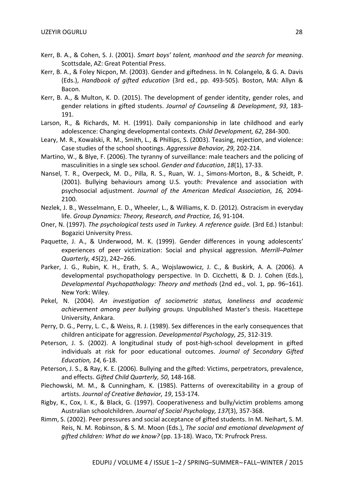- Kerr, B. A., & Cohen, S. J. (2001). *Smart boys' talent, manhood and the search for meaning*. Scottsdale, AZ: Great Potential Press.
- Kerr, B. A., & Foley Nicpon, M. (2003). Gender and giftedness. In N. Colangelo, & G. A. Davis (Eds.), *Handbook of gifted education* (3rd ed., pp. 493-505). Boston, MA: Allyn & Bacon.
- Kerr, B. A., & Multon, K. D. (2015). The development of gender identity, gender roles, and gender relations in gifted students. *Journal of Counseling & Development*, *93*, 183- 191.
- Larson, R., & Richards, M. H. (1991). Daily companionship in late childhood and early adolescence: Changing developmental contexts. *Child Development, 62*, 284-300.
- Leary, M. R., Kowalski, R. M., Smith, L., & Phillips, S. (2003). Teasing, rejection, and violence: Case studies of the school shootings. *Aggressive Behavior, 29,* 202-214.
- Martino, W., & Blye, F. (2006). The tyranny of surveillance: male teachers and the policing of masculinities in a single sex school. *Gender and Education*, *18*(1), 17-33.
- Nansel, T. R., Overpeck, M. D., Pilla, R. S., Ruan, W. J., Simons-Morton, B., & Scheidt, P. (2001). Bullying behaviours among U.S. youth: Prevalence and association with psychosocial adjustment. *Journal of the American Medical Association*, *16,* 2094- 2100.
- Nezlek, J. B., Wesselmann, E. D., Wheeler, L., & Williams, K. D. (2012). Ostracism in everyday life. *Group Dynamics: Theory, Research, and Practice, 16,* 91-104.
- Oner, N. (1997). *The psychological tests used in Turkey. A reference guide.* (3rd Ed.) Istanbul: Bogazici University Press.
- Paquette, J. A., & Underwood, M. K. (1999). Gender differences in young adolescents' experiences of peer victimization: Social and physical aggression. *Merrill–Palmer Quarterly, 45*(2), 242–266.
- Parker, J. G., Rubin, K. H., Erath, S. A., Wojslawowicz, J. C., & Buskirk, A. A. (2006). A developmental psychopathology perspective. In D. Cicchetti, & D. J. Cohen (Eds.), *Developmental Psychopathology: Theory and methods* (2nd ed., vol. 1, pp. 96–161). New York: Wiley.
- Pekel, N. (2004). *An investigation of sociometric status, loneliness and academic achievement among peer bullying groups.* Unpublished Master's thesis. Hacettepe University, Ankara.
- Perry, D. G., Perry, L. C., & Weiss, R. J. (1989). Sex differences in the early consequences that children anticipate for aggression. *Developmental Psychology, 25*, 312-319.
- Peterson, J. S. (2002). A longitudinal study of post-high-school development in gifted individuals at risk for poor educational outcomes. *Journal of Secondary Gifted Education, 14,* 6-18.
- Peterson, J. S., & Ray, K. E. (2006). Bullying and the gifted: Victims, perpetrators, prevalence, and effects. *Gifted Child Quarterly, 50*, 148-168.
- Piechowski, M. M., & Cunningham, K. (1985). Patterns of overexcitability in a group of artists. *Journal of Creative Behavior, 19*, 153-174.
- Rigby, K., Cox, I. K., & Black, G. (1997). Cooperativeness and bully/victim problems among Australian schoolchildren. *Journal of Social Psychology, 137*(3), 357-368.
- Rimm, S. (2002). Peer pressures and social acceptance of gifted students. In M. Neihart, S. M. Reis, N. M. Robinson, & S. M. Moon (Eds.), *The social and emotional development of gifted children: What do we know?* (pp. 13-18). Waco, TX: Prufrock Press.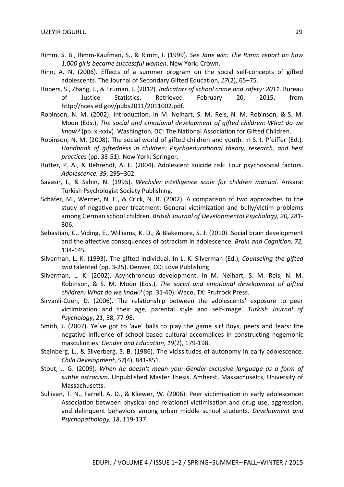- Rimm, S. B., Rimm-Kaufman, S., & Rimm, I. (1999). *See Jane win: The Rimm report on how 1,000 girls became successful women*. New York: Crown.
- Rinn, A. N. (2006). Effects of a summer program on the social self-concepts of gifted adolescents. The Journal of Secondary Gifted Education, *17*(2), 65–75.
- Robers, S., Zhang, J., & Truman, J. (2012). *Indicators of school crime and safety: 2011*. Bureau of Justice Statistics. Retrieved February 20, 2015, from http://nces.ed.gov/pubs2011/2011002.pdf.
- Robinson, N. M. (2002). Introduction. In M. Neihart, S. M. Reis, N. M. Robinson, & S. M. Moon (Eds.), *The social and emotional development of gifted children: What do we know?* (pp. xi-xxiv). Washington, DC: The National Association for Gifted Children.
- Robinson, N. M. (2008). The social world of gifted children and youth. In S. I. Pfeiffer (Ed.), *Handbook of giftedness in children: Psychoeducational theory, research, and best practices* (pp. 33-51). New York: Springer.
- Rutter, P. A., & Behrendt, A. E. (2004). Adolescent suicide risk: Four psychosocial factors. *Adolescence, 39*, 295–302.
- Savasir, I., & Sahin, N. (1995). *Wechsler intelligence scale for children manual*. Ankara: Turkish Psychologist Society Publishing.
- Schäfer, M., Werner, N. E., & Crick, N. R. (2002). A comparison of two approaches to the study of negative peer treatment: General victimization and bully/victim problems among German school children. *British Journal of Developmental Psychology, 20,* 281- 306.
- Sebastian, C., Viding, E., Williams, K. D., & Blakemore, S. J. (2010). Social brain development and the affective consequences of ostracism in adolescence. *Brain and Cognition, 72,*  134-145.
- Silverman, L. K. (1993). The gifted individual. In L. K. Silverman (Ed.), *Counseling the gifted and* talented (pp. 3-25). Denver, CO: Love Publishing
- Silverman, L. K. (2002). Asynchronous development. In M. Neihart, S. M. Reis, N. M. Robinson, & S. M. Moon (Eds.), *The social and emotional development of gifted children: What do we know?* (pp. 31-40). Waco, TX: Prufrock Press.
- Sirvanli-Ozen, D. (2006). The relationship between the adolescents' exposure to peer victimization and their age, parental style and self-image. *Turkish Journal of Psychology*, *21*, 58, 77-98.
- Smith, J. (2007). Ye`ve got to 'ave' balls to play the game sir! Boys, peers and fears: the negative influence of school based cultural accomplices in constructing hegemonic masculinities. *Gender and Education*, *19*(2), 179-198.
- Steinberg, L., & Silverberg, S. B. (1986). The vicissitudes of autonomy in early adolescence. *Child Development*, *57*(4), 841-851.
- Stout, J. G. (2009). *When he doesn't mean you: Gender-exclusive language as a form of subtle ostracism.* Unpublished Master Thesis. Amherst, Massachusetts, University of Massachusetts.
- Sullivan, T. N., Farrell, A. D., & Kliewer, W. (2006). Peer victimisation in early adolescence: Association between physical and relational victimisation and drug use, aggression, and delinquent behaviors among urban middle school students. *Development and Psychopathology, 18*, 119-137.